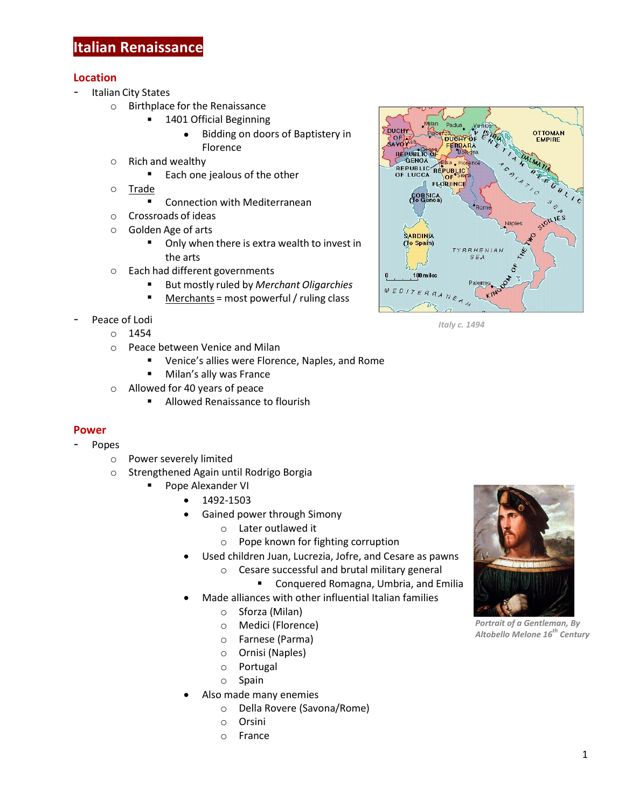## **Location**

- Italian City States
	- o Birthplace for the Renaissance
		- **1401 Official Beginning** 
			- Bidding on doors of Baptistery in Florence
	- o Rich and wealthy
		- Each one jealous of the other
	- o Trade
		- **E** Connection with Mediterranean
	- o Crossroads of ideas
	- o Golden Age of arts
		- Only when there is extra wealth to invest in the arts
	- o Each had different governments
		- But mostly ruled by *Merchant Oligarchies*
		- Merchants = most powerful/ ruling class
- Peace of Lodi
	- $\circ$  1454
	- o Peace between Venice and Milan
		- **UPIER 19 Venice's allies were Florence, Naples, and Rome**
		- **Milan's ally was France**
	- o Allowed for 40 years of peace
		- **Allowed Renaissance to flourish**

## **Power**

- Popes
	- o Power severely limited
	- o Strengthened Again until Rodrigo Borgia
		- Pope Alexander VI
			- 1492-1503
			- Gained power through Simony
				- o Later outlawed it
				- o Pope known for fighting corruption
			- Used children Juan, Lucrezia, Jofre, and Cesare as pawns
				- o Cesare successful and brutal military general
					- **E** Conquered Romagna, Umbria, and Emilia
			- Made alliances with other influential Italian families
				- o Sforza (Milan)
				- o Medici (Florence)
				- o Farnese (Parma)
				- o Ornisi (Naples)
				- o Portugal
				- o Spain
			- Also made many enemies
				- o Della Rovere (Savona/Rome)
				- o Orsini
				- o France



*Italy c. 1494* 



*Portrait of a Gentleman, By Altobello Melone 16th Century*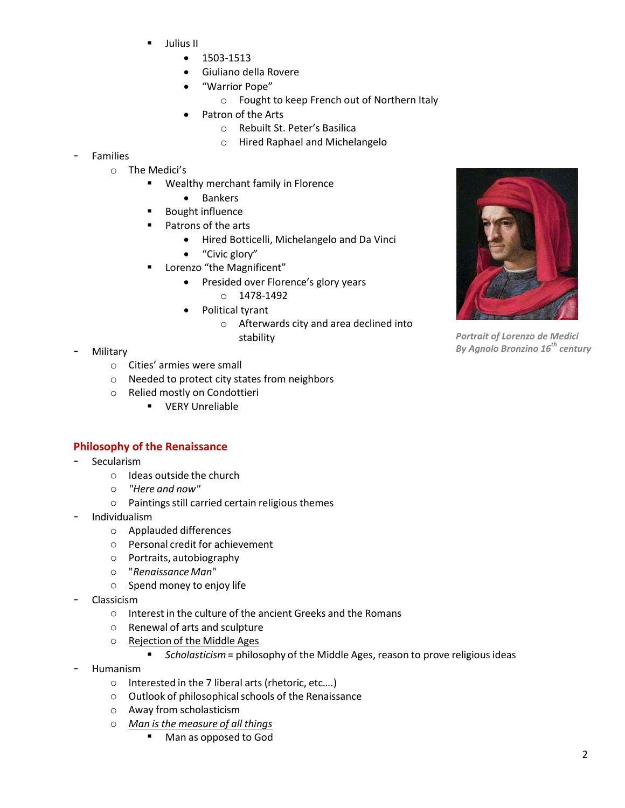- Julius II
	- $1503 1513$
	- Giuliano della Rovere
	- "Warrior Pope"
		- o Fought to keep French out of Northern Italy
		- Patron of the Arts
			- o Rebuilt St. Peter's Basilica
			- o Hired Raphael and Michelangelo

## **Families**

- o The Medici's
	- Wealthy merchant family in Florence
		- Bankers
	- Bought influence
	- Patrons of the arts
		- Hired Botticelli, Michelangelo and Da Vinci
		- "Civic glory"
	- Lorenzo "the Magnificent"
		- Presided over Florence's glory years
			- o 1478-1492
		- Political tyrant
			- o Afterwards city and area declined into stability

- **Military** 
	- o Cities' armies were small
	- o Needed to protect city states from neighbors
	- o Relied mostly on Condottieri
		- **•** VERY Unreliable

## **Philosophy of the Renaissance**

- **Secularism** 
	- o Ideas outside the church
	- o *"Here and now"*
	- $\circ$  Paintings still carried certain religious themes
- Individualism
	- o Applauded differences
	- o Personal credit for achievement
	- o Portraits, autobiography
	- o "*RenaissanceMan*"
	- o Spend money to enjoy life
- Classicism
	- o Interest in the culture of the ancient Greeks and the Romans
	- o Renewal of arts and sculpture
	- o Rejection of the Middle Ages
		- *Scholasticism*= philosophy of the Middle Ages, reason to prove religious ideas
- Humanism
	- o Interested in the 7 liberal arts (rhetoric, etc….)
	- o Outlook of philosophicalschools of the Renaissance
	- o Away from scholasticism
	- o *Man is the measure of all things*
		- Man as opposed to God



*Portrait of Lorenzo de Medici By Agnolo Bronzino 16th century*